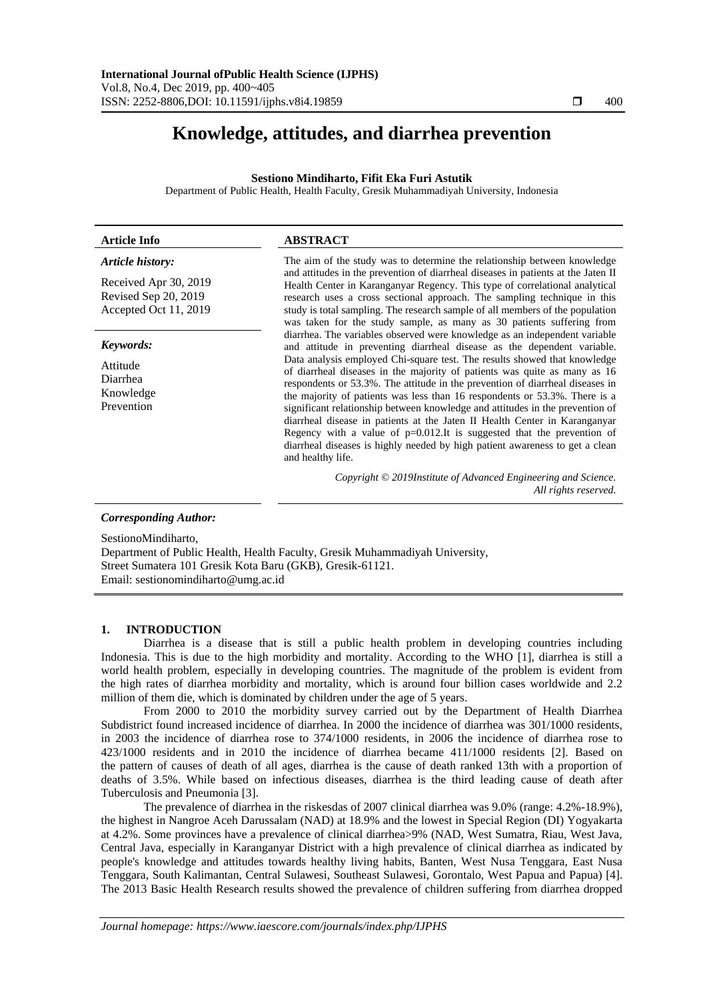# **Knowledge, attitudes, and diarrhea prevention**

# **Sestiono Mindiharto, Fifit Eka Furi Astutik**

Department of Public Health, Health Faculty, Gresik Muhammadiyah University, Indonesia

| <b>Article Info</b>                                                                                                                                        | <b>ABSTRACT</b>                                                                                                                                                                                                                                                                                                                                                                                                                                                                                                                                                                                                                                                                                                                                                                                                                                                                                                                                                                                                                                                                                                                                                                                                                                                                                   |
|------------------------------------------------------------------------------------------------------------------------------------------------------------|---------------------------------------------------------------------------------------------------------------------------------------------------------------------------------------------------------------------------------------------------------------------------------------------------------------------------------------------------------------------------------------------------------------------------------------------------------------------------------------------------------------------------------------------------------------------------------------------------------------------------------------------------------------------------------------------------------------------------------------------------------------------------------------------------------------------------------------------------------------------------------------------------------------------------------------------------------------------------------------------------------------------------------------------------------------------------------------------------------------------------------------------------------------------------------------------------------------------------------------------------------------------------------------------------|
| Article history:<br>Received Apr 30, 2019<br>Revised Sep 20, 2019<br>Accepted Oct 11, 2019<br>Keywords:<br>Attitude<br>Diarrhea<br>Knowledge<br>Prevention | The aim of the study was to determine the relationship between knowledge<br>and attitudes in the prevention of diarrheal diseases in patients at the Jaten II<br>Health Center in Karanganyar Regency. This type of correlational analytical<br>research uses a cross sectional approach. The sampling technique in this<br>study is total sampling. The research sample of all members of the population<br>was taken for the study sample, as many as 30 patients suffering from<br>diarrhea. The variables observed were knowledge as an independent variable<br>and attitude in preventing diarrheal disease as the dependent variable.<br>Data analysis employed Chi-square test. The results showed that knowledge<br>of diarrheal diseases in the majority of patients was quite as many as 16<br>respondents or 53.3%. The attitude in the prevention of diarrheal diseases in<br>the majority of patients was less than 16 respondents or 53.3%. There is a<br>significant relationship between knowledge and attitudes in the prevention of<br>diarrheal disease in patients at the Jaten II Health Center in Karanganyar<br>Regency with a value of $p=0.012$ . It is suggested that the prevention of<br>diarrheal diseases is highly needed by high patient awareness to get a clean |
|                                                                                                                                                            | and healthy life.<br>Copyright © 2019Institute of Advanced Engineering and Science.<br>All rights reserved.                                                                                                                                                                                                                                                                                                                                                                                                                                                                                                                                                                                                                                                                                                                                                                                                                                                                                                                                                                                                                                                                                                                                                                                       |
| <b>Corresponding Author:</b>                                                                                                                               |                                                                                                                                                                                                                                                                                                                                                                                                                                                                                                                                                                                                                                                                                                                                                                                                                                                                                                                                                                                                                                                                                                                                                                                                                                                                                                   |

SestionoMindiharto, Department of Public Health, Health Faculty, Gresik Muhammadiyah University, Street Sumatera 101 Gresik Kota Baru (GKB), Gresik-61121. Email: sestionomindiharto@umg.ac.id

# **1. INTRODUCTION**

Diarrhea is a disease that is still a public health problem in developing countries including Indonesia. This is due to the high morbidity and mortality. According to the WHO [1], diarrhea is still a world health problem, especially in developing countries. The magnitude of the problem is evident from the high rates of diarrhea morbidity and mortality, which is around four billion cases worldwide and 2.2 million of them die, which is dominated by children under the age of 5 years.

From 2000 to 2010 the morbidity survey carried out by the Department of Health Diarrhea Subdistrict found increased incidence of diarrhea. In 2000 the incidence of diarrhea was 301/1000 residents, in 2003 the incidence of diarrhea rose to 374/1000 residents, in 2006 the incidence of diarrhea rose to 423/1000 residents and in 2010 the incidence of diarrhea became 411/1000 residents [2]. Based on the pattern of causes of death of all ages, diarrhea is the cause of death ranked 13th with a proportion of deaths of 3.5%. While based on infectious diseases, diarrhea is the third leading cause of death after Tuberculosis and Pneumonia [3].

The prevalence of diarrhea in the riskesdas of 2007 clinical diarrhea was 9.0% (range: 4.2%-18.9%), the highest in Nangroe Aceh Darussalam (NAD) at 18.9% and the lowest in Special Region (DI) Yogyakarta at 4.2%. Some provinces have a prevalence of clinical diarrhea>9% (NAD, West Sumatra, Riau, West Java, Central Java, especially in Karanganyar District with a high prevalence of clinical diarrhea as indicated by people's knowledge and attitudes towards healthy living habits, Banten, West Nusa Tenggara, East Nusa Tenggara, South Kalimantan, Central Sulawesi, Southeast Sulawesi, Gorontalo, West Papua and Papua) [4]. The 2013 Basic Health Research results showed the prevalence of children suffering from diarrhea dropped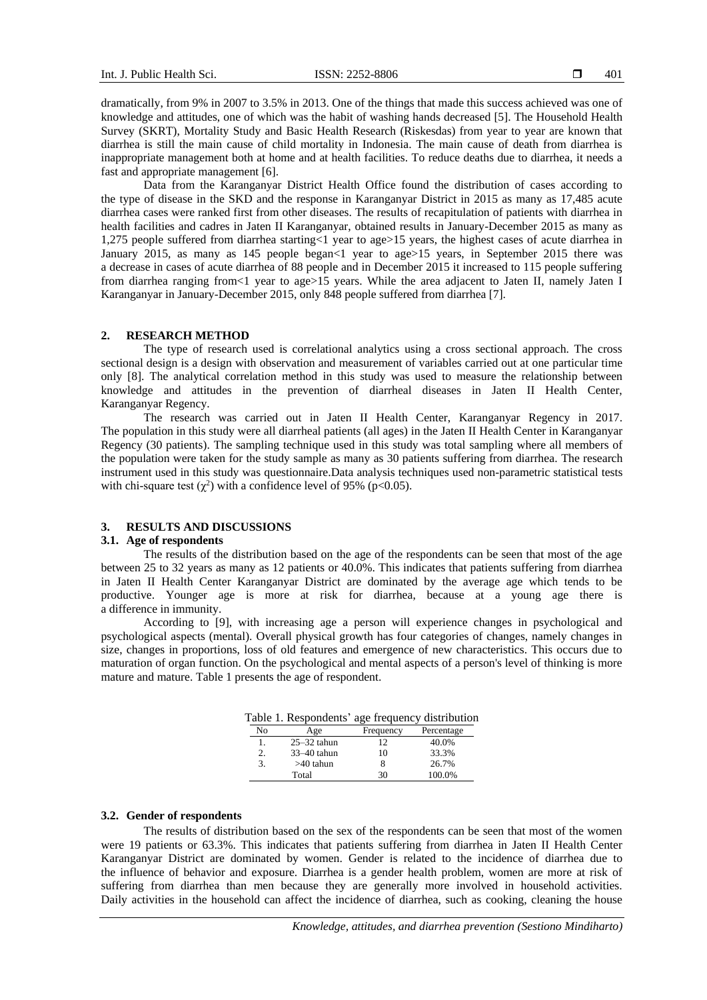dramatically, from 9% in 2007 to 3.5% in 2013. One of the things that made this success achieved was one of knowledge and attitudes, one of which was the habit of washing hands decreased [5]. The Household Health Survey (SKRT), Mortality Study and Basic Health Research (Riskesdas) from year to year are known that diarrhea is still the main cause of child mortality in Indonesia. The main cause of death from diarrhea is inappropriate management both at home and at health facilities. To reduce deaths due to diarrhea, it needs a fast and appropriate management [6].

Data from the Karanganyar District Health Office found the distribution of cases according to the type of disease in the SKD and the response in Karanganyar District in 2015 as many as 17,485 acute diarrhea cases were ranked first from other diseases. The results of recapitulation of patients with diarrhea in health facilities and cadres in Jaten II Karanganyar, obtained results in January-December 2015 as many as 1,275 people suffered from diarrhea starting<1 year to age>15 years, the highest cases of acute diarrhea in January 2015, as many as 145 people began<1 year to age>15 years, in September 2015 there was a decrease in cases of acute diarrhea of 88 people and in December 2015 it increased to 115 people suffering from diarrhea ranging from<1 year to age>15 years. While the area adjacent to Jaten II, namely Jaten I Karanganyar in January-December 2015, only 848 people suffered from diarrhea [7].

# **2. RESEARCH METHOD**

The type of research used is correlational analytics using a cross sectional approach. The cross sectional design is a design with observation and measurement of variables carried out at one particular time only [8]. The analytical correlation method in this study was used to measure the relationship between knowledge and attitudes in the prevention of diarrheal diseases in Jaten II Health Center, Karanganyar Regency.

The research was carried out in Jaten II Health Center, Karanganyar Regency in 2017. The population in this study were all diarrheal patients (all ages) in the Jaten II Health Center in Karanganyar Regency (30 patients). The sampling technique used in this study was total sampling where all members of the population were taken for the study sample as many as 30 patients suffering from diarrhea. The research instrument used in this study was questionnaire.Data analysis techniques used non-parametric statistical tests with chi-square test  $(\chi^2)$  with a confidence level of 95% (p<0.05).

# **3. RESULTS AND DISCUSSIONS**

# **3.1. Age of respondents**

The results of the distribution based on the age of the respondents can be seen that most of the age between 25 to 32 years as many as 12 patients or 40.0%. This indicates that patients suffering from diarrhea in Jaten II Health Center Karanganyar District are dominated by the average age which tends to be productive. Younger age is more at risk for diarrhea, because at a young age there is a difference in immunity.

According to [9], with increasing age a person will experience changes in psychological and psychological aspects (mental). Overall physical growth has four categories of changes, namely changes in size, changes in proportions, loss of old features and emergence of new characteristics. This occurs due to maturation of organ function. On the psychological and mental aspects of a person's level of thinking is more mature and mature. Table 1 presents the age of respondent.

Table 1. Respondents' age frequency distribution

| No | Age             | Frequency | Percentage |
|----|-----------------|-----------|------------|
|    | $25 - 32$ tahun | 12        | 40.0%      |
| 2. | $33-40$ tahun   | 10        | 33.3%      |
| 3. | >40 tahun       |           | 26.7%      |
|    | Total           | 30        | 100.0%     |

# **3.2. Gender of respondents**

The results of distribution based on the sex of the respondents can be seen that most of the women were 19 patients or 63.3%. This indicates that patients suffering from diarrhea in Jaten II Health Center Karanganyar District are dominated by women. Gender is related to the incidence of diarrhea due to the influence of behavior and exposure. Diarrhea is a gender health problem, women are more at risk of suffering from diarrhea than men because they are generally more involved in household activities. Daily activities in the household can affect the incidence of diarrhea, such as cooking, cleaning the house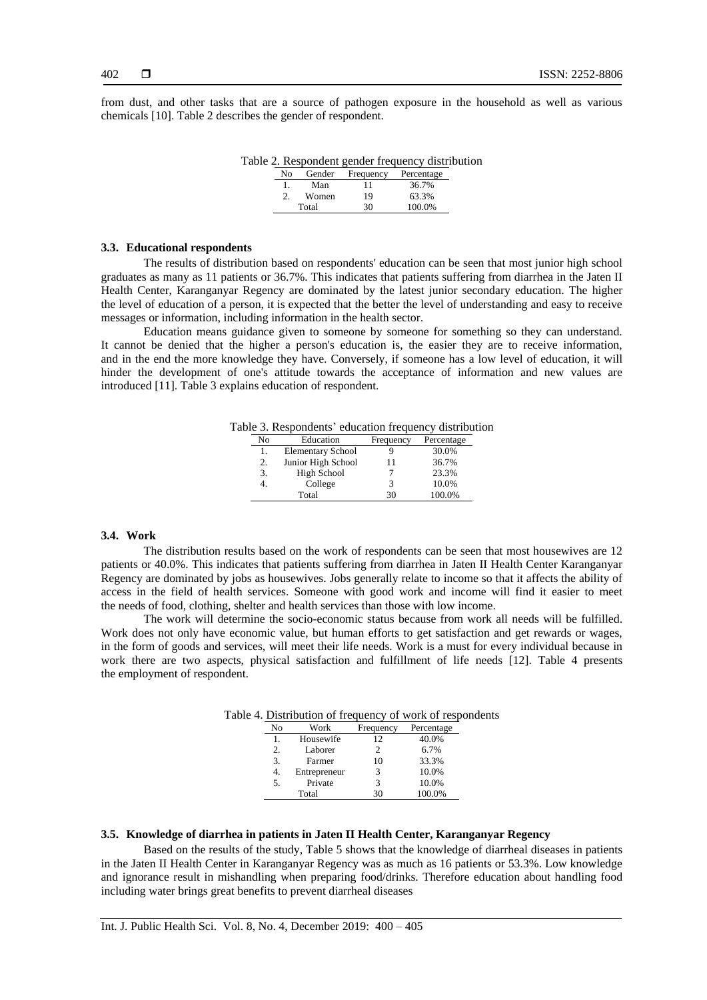from dust, and other tasks that are a source of pathogen exposure in the household as well as various chemicals [10]. Table 2 describes the gender of respondent.

|     |       |                             | Table 2. Respondent gender frequency distribution |  |
|-----|-------|-----------------------------|---------------------------------------------------|--|
| No. |       | Gender Frequency Percentage |                                                   |  |
|     | Man   |                             | 36.7%                                             |  |
|     | Women | 19                          | 63.3%                                             |  |
|     | Total | 30                          | 100.0%                                            |  |

### **3.3. Educational respondents**

The results of distribution based on respondents' education can be seen that most junior high school graduates as many as 11 patients or 36.7%. This indicates that patients suffering from diarrhea in the Jaten II Health Center, Karanganyar Regency are dominated by the latest junior secondary education. The higher the level of education of a person, it is expected that the better the level of understanding and easy to receive messages or information, including information in the health sector.

Education means guidance given to someone by someone for something so they can understand. It cannot be denied that the higher a person's education is, the easier they are to receive information, and in the end the more knowledge they have. Conversely, if someone has a low level of education, it will hinder the development of one's attitude towards the acceptance of information and new values are introduced [11]. Table 3 explains education of respondent.

Table 3. Respondents' education frequency distribution

| No | Education                | Frequency | Percentage |
|----|--------------------------|-----------|------------|
| l. | <b>Elementary School</b> |           | 30.0%      |
| 2. | Junior High School       | 11        | 36.7%      |
| 3. | High School              |           | 23.3%      |
|    | College                  | 3         | 10.0%      |
|    | Total                    | 30        | 100.0%     |

### **3.4. Work**

The distribution results based on the work of respondents can be seen that most housewives are 12 patients or 40.0%. This indicates that patients suffering from diarrhea in Jaten II Health Center Karanganyar Regency are dominated by jobs as housewives. Jobs generally relate to income so that it affects the ability of access in the field of health services. Someone with good work and income will find it easier to meet the needs of food, clothing, shelter and health services than those with low income.

The work will determine the socio-economic status because from work all needs will be fulfilled. Work does not only have economic value, but human efforts to get satisfaction and get rewards or wages, in the form of goods and services, will meet their life needs. Work is a must for every individual because in work there are two aspects, physical satisfaction and fulfillment of life needs [12]. Table 4 presents the employment of respondent.

|    | . Bhothoution of hequene |           | $01.011$ 0111 01 |
|----|--------------------------|-----------|------------------|
| No | Work                     | Frequency | Percentage       |
|    | Housewife                | 12        | 40.0%            |
| 2. | Laborer                  | 2         | 6.7%             |
| 3. | Farmer                   | 10        | 33.3%            |
| 4. | Entrepreneur             | 3         | 10.0%            |
| 5. | Private                  | 3         | 10.0%            |
|    | Total                    | 30        | 100.0%           |

Table 4. Distribution of frequency of work of respondents

# **3.5. Knowledge of diarrhea in patients in Jaten II Health Center, Karanganyar Regency**

Based on the results of the study, Table 5 shows that the knowledge of diarrheal diseases in patients in the Jaten II Health Center in Karanganyar Regency was as much as 16 patients or 53.3%. Low knowledge and ignorance result in mishandling when preparing food/drinks. Therefore education about handling food including water brings great benefits to prevent diarrheal diseases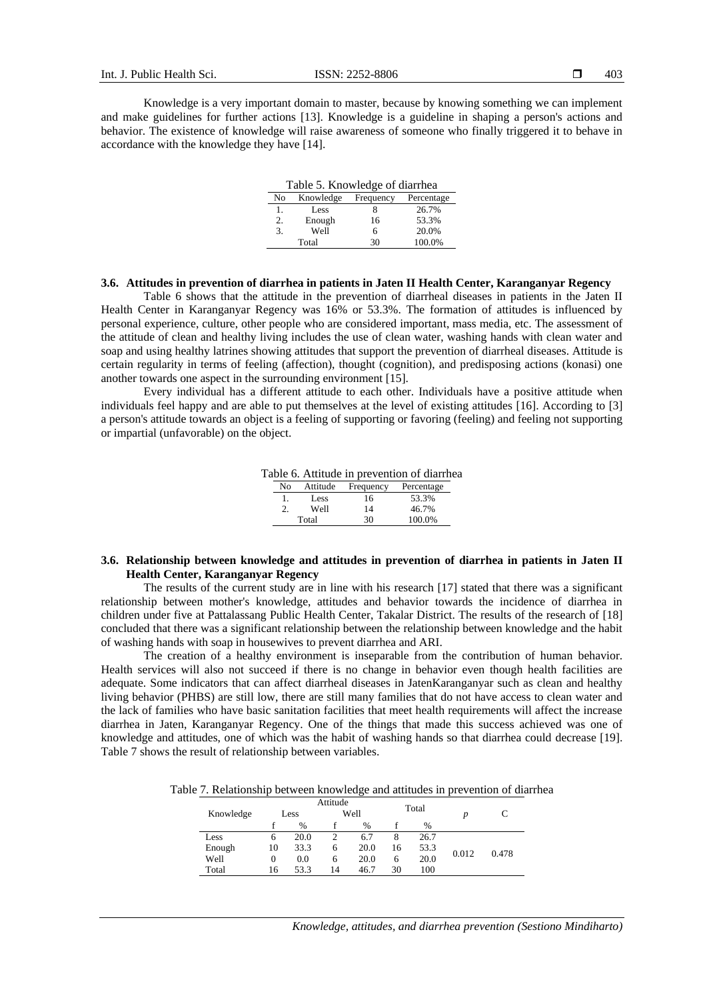Knowledge is a very important domain to master, because by knowing something we can implement and make guidelines for further actions [13]. Knowledge is a guideline in shaping a person's actions and behavior. The existence of knowledge will raise awareness of someone who finally triggered it to behave in accordance with the knowledge they have [14].

| Table 5. Knowledge of diarrhea             |        |    |        |  |  |  |
|--------------------------------------------|--------|----|--------|--|--|--|
| Knowledge<br>Frequency<br>Percentage<br>No |        |    |        |  |  |  |
| 1.                                         | Less   |    | 26.7%  |  |  |  |
| 2.                                         | Enough | 16 | 53.3%  |  |  |  |
| 3.                                         | Well   | 6  | 20.0%  |  |  |  |
|                                            | Total  | 30 | 100.0% |  |  |  |

# **3.6. Attitudes in prevention of diarrhea in patients in Jaten II Health Center, Karanganyar Regency**

Table 6 shows that the attitude in the prevention of diarrheal diseases in patients in the Jaten II Health Center in Karanganyar Regency was 16% or 53.3%. The formation of attitudes is influenced by personal experience, culture, other people who are considered important, mass media, etc. The assessment of the attitude of clean and healthy living includes the use of clean water, washing hands with clean water and soap and using healthy latrines showing attitudes that support the prevention of diarrheal diseases. Attitude is certain regularity in terms of feeling (affection), thought (cognition), and predisposing actions (konasi) one another towards one aspect in the surrounding environment [15].

Every individual has a different attitude to each other. Individuals have a positive attitude when individuals feel happy and are able to put themselves at the level of existing attitudes [16]. According to [3] a person's attitude towards an object is a feeling of supporting or favoring (feeling) and feeling not supporting or impartial (unfavorable) on the object.

Table 6. Attitude in prevention of diarrhea

| Nο | Attitude | Frequency | Percentage |
|----|----------|-----------|------------|
|    | Less     | 16        | 53.3%      |
|    | Well     | 14        | 46.7%      |
|    | Total    | 30        | 100.0%     |

# **3.6. Relationship between knowledge and attitudes in prevention of diarrhea in patients in Jaten II Health Center, Karanganyar Regency**

The results of the current study are in line with his research [17] stated that there was a significant relationship between mother's knowledge, attitudes and behavior towards the incidence of diarrhea in children under five at Pattalassang Public Health Center, Takalar District. The results of the research of [18] concluded that there was a significant relationship between the relationship between knowledge and the habit of washing hands with soap in housewives to prevent diarrhea and ARI.

The creation of a healthy environment is inseparable from the contribution of human behavior. Health services will also not succeed if there is no change in behavior even though health facilities are adequate. Some indicators that can affect diarrheal diseases in JatenKaranganyar such as clean and healthy living behavior (PHBS) are still low, there are still many families that do not have access to clean water and the lack of families who have basic sanitation facilities that meet health requirements will affect the increase diarrhea in Jaten, Karanganyar Regency. One of the things that made this success achieved was one of knowledge and attitudes, one of which was the habit of washing hands so that diarrhea could decrease [19]. Table 7 shows the result of relationship between variables.

Table 7. Relationship between knowledge and attitudes in prevention of diarrhea

|           | Attitude |      |      | Total |    |      |       |       |
|-----------|----------|------|------|-------|----|------|-------|-------|
| Knowledge | Less     |      | Well |       |    |      |       |       |
|           |          | %    |      | %     |    | %    |       |       |
| Less      | 6        | 20.0 |      | 6.7   | 8  | 26.7 |       |       |
| Enough    | 10       | 33.3 | 6    | 20.0  | 16 | 53.3 | 0.012 | 0.478 |
| Well      | 0        | 0.0  | 6    | 20.0  | 6  | 20.0 |       |       |
| Total     | 16       | 53.3 | 14   | 46.7  | 30 | 100  |       |       |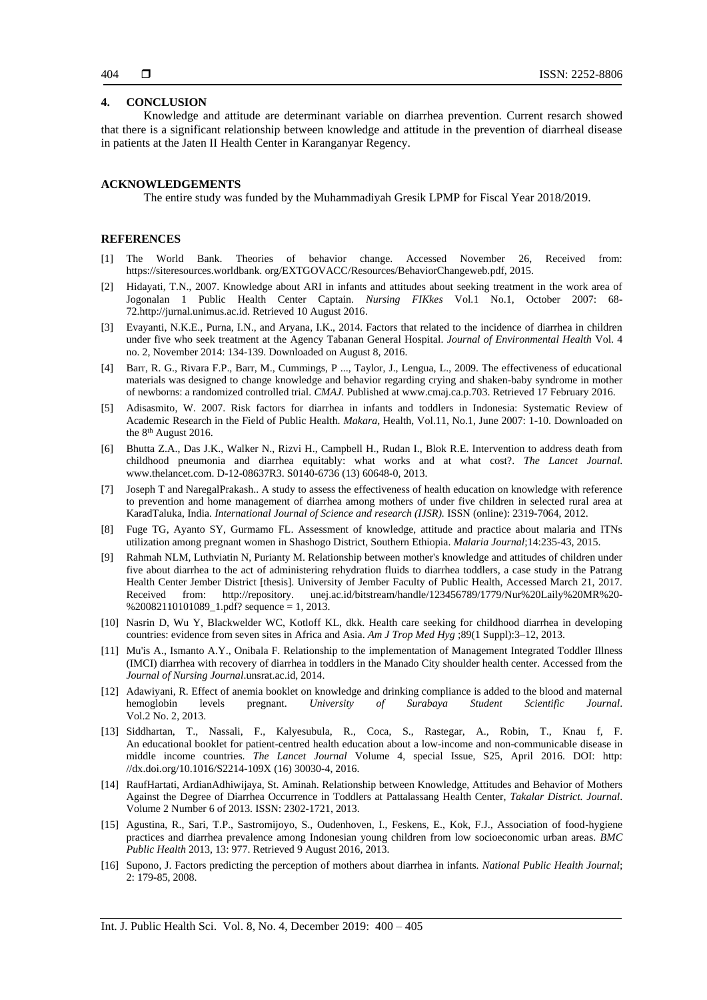# **4. CONCLUSION**

Knowledge and attitude are determinant variable on diarrhea prevention. Current resarch showed that there is a significant relationship between knowledge and attitude in the prevention of diarrheal disease in patients at the Jaten II Health Center in Karanganyar Regency.

## **ACKNOWLEDGEMENTS**

The entire study was funded by the Muhammadiyah Gresik LPMP for Fiscal Year 2018/2019.

# **REFERENCES**

- [1] The World Bank. Theories of behavior change. Accessed November 26, Received from: https://siteresources.worldbank. org/EXTGOVACC/Resources/BehaviorChangeweb.pdf, 2015.
- [2] Hidayati, T.N., 2007. Knowledge about ARI in infants and attitudes about seeking treatment in the work area of Jogonalan 1 Public Health Center Captain. *Nursing FIKkes* Vol.1 No.1, October 2007: 68- 72.http://jurnal.unimus.ac.id. Retrieved 10 August 2016.
- [3] Evayanti, N.K.E., Purna, I.N., and Aryana, I.K., 2014. Factors that related to the incidence of diarrhea in children under five who seek treatment at the Agency Tabanan General Hospital. *Journal of Environmental Health* Vol. 4 no. 2, November 2014: 134-139. Downloaded on August 8, 2016.
- [4] Barr, R. G., Rivara F.P., Barr, M., Cummings, P ..., Taylor, J., Lengua, L., 2009. The effectiveness of educational materials was designed to change knowledge and behavior regarding crying and shaken-baby syndrome in mother of newborns: a randomized controlled trial. *CMAJ*. Published at www.cmaj.ca.p.703. Retrieved 17 February 2016.
- [5] Adisasmito, W. 2007. Risk factors for diarrhea in infants and toddlers in Indonesia: Systematic Review of Academic Research in the Field of Public Health. *Makara*, Health, Vol.11, No.1, June 2007: 1-10. Downloaded on the 8<sup>th</sup> August 2016.
- [6] Bhutta Z.A., Das J.K., Walker N., Rizvi H., Campbell H., Rudan I., Blok R.E. Intervention to address death from childhood pneumonia and diarrhea equitably: what works and at what cost?. *The Lancet Journal*. www.thelancet.com. D-12-08637R3. S0140-6736 (13) 60648-0, 2013.
- [7] Joseph T and NaregalPrakash.. A study to assess the effectiveness of health education on knowledge with reference to prevention and home management of diarrhea among mothers of under five children in selected rural area at KaradTaluka, India. *International Journal of Science and research (IJSR).* ISSN (online): 2319-7064, 2012.
- [8] Fuge TG, Ayanto SY, Gurmamo FL. Assessment of knowledge, attitude and practice about malaria and ITNs utilization among pregnant women in Shashogo District, Southern Ethiopia. *Malaria Journal*;14:235-43, 2015.
- [9] Rahmah NLM, Luthviatin N, Purianty M. Relationship between mother's knowledge and attitudes of children under five about diarrhea to the act of administering rehydration fluids to diarrhea toddlers, a case study in the Patrang Health Center Jember District [thesis]. University of Jember Faculty of Public Health, Accessed March 21, 2017. Received from: http://repository. unej.ac.id/bitstream/handle/123456789/1779/Nur%20Laily%20MR%20-  $% 20082110101089$ <sub>-1.pdf</sub>? sequence = 1, 2013.
- [10] Nasrin D, Wu Y, Blackwelder WC, Kotloff KL, dkk. Health care seeking for childhood diarrhea in developing countries: evidence from seven sites in Africa and Asia. *Am J Trop Med Hyg* ;89(1 Suppl):3–12, 2013.
- [11] Mu'is A., Ismanto A.Y., Onibala F. Relationship to the implementation of Management Integrated Toddler Illness (IMCI) diarrhea with recovery of diarrhea in toddlers in the Manado City shoulder health center. Accessed from the *Journal of Nursing Journal*.unsrat.ac.id, 2014.
- [12] Adawiyani, R. Effect of anemia booklet on knowledge and drinking compliance is added to the blood and maternal hemoglobin levels pregnant. *University of Surabaya Student Scientific Journal*. Vol.2 No. 2, 2013.
- [13] Siddhartan, T., Nassali, F., Kalyesubula, R., Coca, S., Rastegar, A., Robin, T., Knau f, F. An educational booklet for patient-centred health education about a low-income and non-communicable disease in middle income countries. *The Lancet Journal* Volume 4, special Issue, S25, April 2016. DOI: http: //dx.doi.org/10.1016/S2214-109X (16) 30030-4, 2016.
- [14] RaufHartati, ArdianAdhiwijaya, St. Aminah. Relationship between Knowledge, Attitudes and Behavior of Mothers Against the Degree of Diarrhea Occurrence in Toddlers at Pattalassang Health Center, *Takalar District. Journal*. Volume 2 Number 6 of 2013. ISSN: 2302-1721, 2013.
- [15] Agustina, R., Sari, T.P., Sastromijoyo, S., Oudenhoven, I., Feskens, E., Kok, F.J., Association of food-hygiene practices and diarrhea prevalence among Indonesian young children from low socioeconomic urban areas. *BMC Public Health* 2013, 13: 977. Retrieved 9 August 2016, 2013.
- [16] Supono, J. Factors predicting the perception of mothers about diarrhea in infants. *National Public Health Journal*; 2: 179-85, 2008.